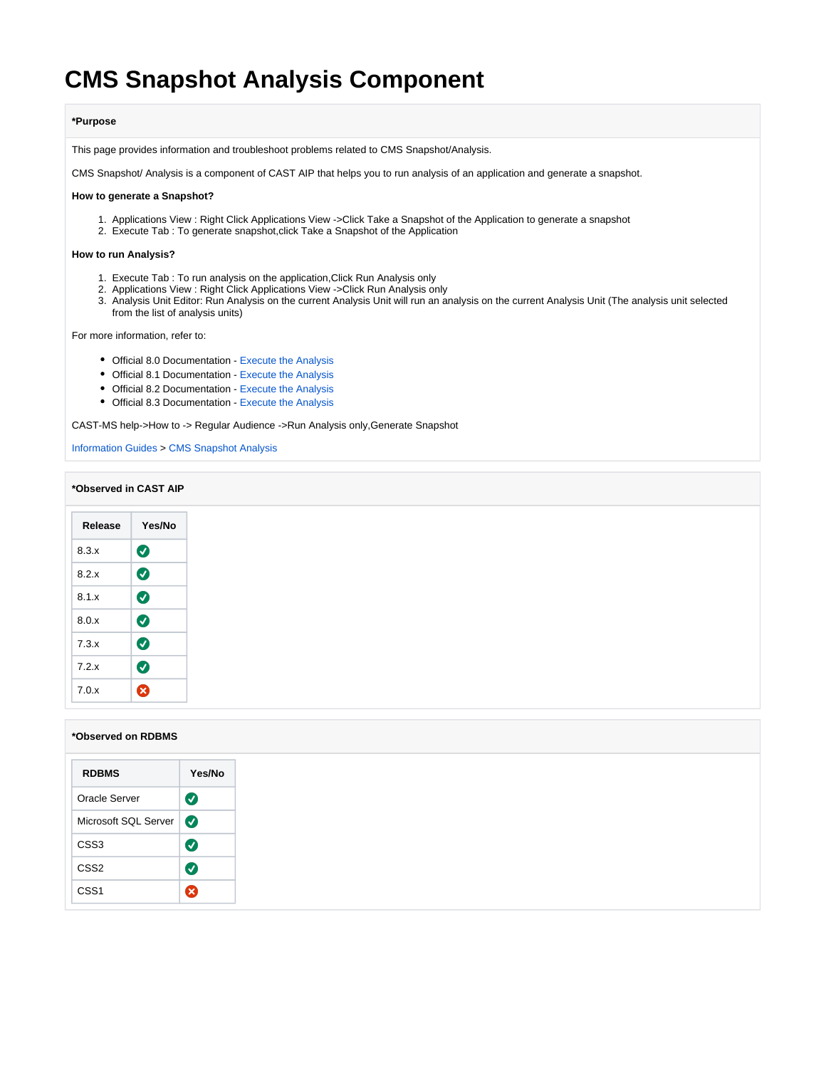# **CMS Snapshot Analysis Component**

### **\*Purpose**

This page provides information and troubleshoot problems related to CMS Snapshot/Analysis.

CMS Snapshot/ Analysis is a component of CAST AIP that helps you to run analysis of an application and generate a snapshot.

### **How to generate a Snapshot?**

- 1. Applications View : Right Click Applications View ->Click Take a Snapshot of the Application to generate a snapshot
- 2. Execute Tab : To generate snapshot,click Take a Snapshot of the Application

#### **How to run Analysis?**

- 1. Execute Tab : To run analysis on the application,Click Run Analysis only
- 2. Applications View : Right Click Applications View ->Click Run Analysis only
- 3. Analysis Unit Editor: Run Analysis on the current Analysis Unit will run an analysis on the current Analysis Unit (The analysis unit selected from the list of analysis units)

For more information, refer to:

- Official 8.0 Documentation [Execute the Analysis](http://doc.castsoftware.com/display/DOC80/2.2.+Execute+the+Analysis?src=breadcrumbs-parent)
- Official 8.1 Documentation [Execute the Analysis](http://doc.castsoftware.com/display/DOC81/2.2.+Execute+the+Analysis)
- Official 8.2 Documentation [Execute the Analysis](http://doc.castsoftware.com/display/DOC82/2.2.+Execute+the+Analysis)
- Official 8.3 Documentation [Execute the Analysis](http://doc.castsoftware.com/display/DOC83/2.2.+Execute+the+Analysis)

CAST-MS help->How to -> Regular Audience ->Run Analysis only,Generate Snapshot

[Information Guides](https://doc.castsoftware.com/display/TG/Information+Guides) > [CMS Snapshot Analysis](https://doc.castsoftware.com/display/TG/CMS+Snapshot+Analysis)

### **\*Observed in CAST AIP**

| Release | Yes/No |
|---------|--------|
| 8.3.x   | Ø      |
| 8.2.x   | Ø      |
| 8.1.x   | Ø      |
| 8.0.x   | Ø      |
| 7.3.x   | Ø      |
| 7.2.x   | Ø      |
| 7.0.x   | Ø      |

### **\*Observed on RDBMS**

| <b>RDBMS</b>         | Yes/No    |
|----------------------|-----------|
| Oracle Server        | $\bullet$ |
| Microsoft SQL Server |           |
| CSS <sub>3</sub>     | $\bullet$ |
| CSS <sub>2</sub>     | Ø         |
| CSS <sub>1</sub>     | ⊗         |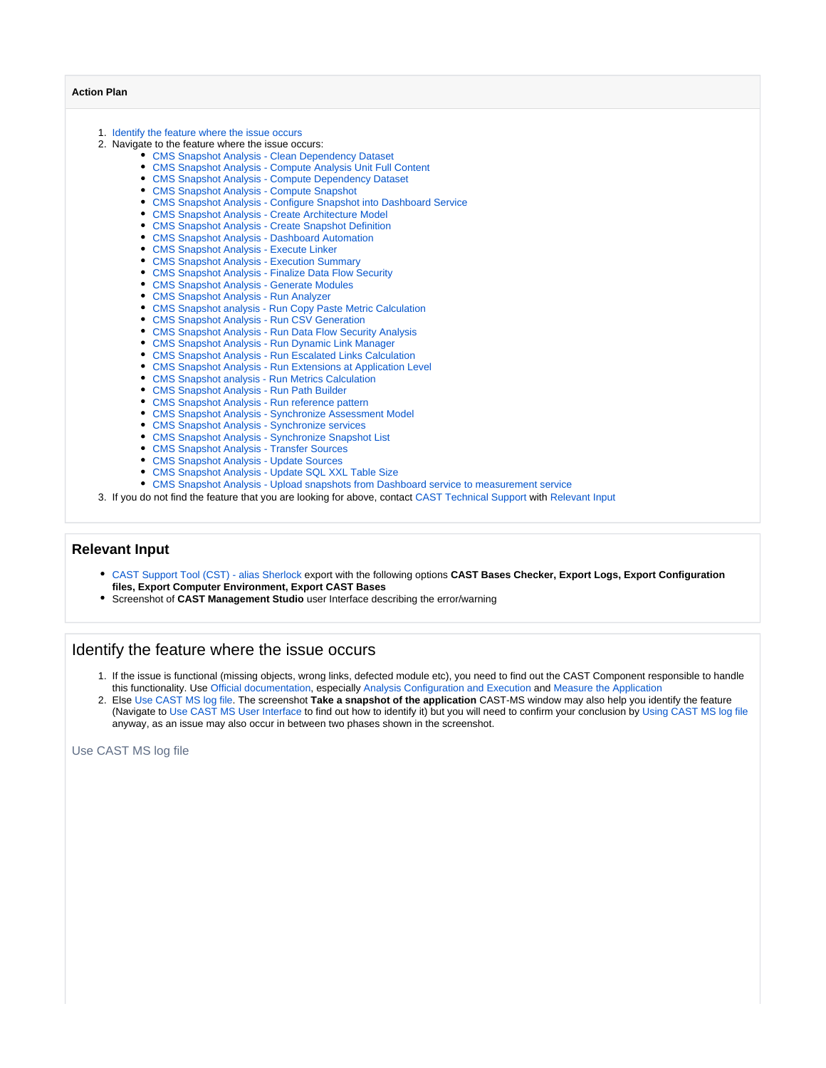### **Action Plan**

- 1. [Identify the feature where the issue occurs](#page-1-0)
- 2. Navigate to the feature where the issue occurs:
	- [CMS Snapshot Analysis Clean Dependency Dataset](https://doc.castsoftware.com/display/TG/CMS+Snapshot+Analysis+-+Clean+Dependency+Dataset)
	- [CMS Snapshot Analysis Compute Analysis Unit Full Content](https://doc.castsoftware.com/display/TG/CMS+Snapshot+Analysis+-+Compute+Analysis+Unit+Full+Content)
	- [CMS Snapshot Analysis Compute Dependency Dataset](https://doc.castsoftware.com/display/TG/CMS+Snapshot+Analysis+-+Compute+Dependency+Dataset)
	- [CMS Snapshot Analysis Compute Snapshot](https://doc.castsoftware.com/display/TG/CMS+Snapshot+Analysis+-+Compute+Snapshot)
	- [CMS Snapshot Analysis Configure Snapshot into Dashboard Service](https://doc.castsoftware.com/display/TG/CMS+Snapshot+Analysis+-+Configure+Snapshot+into+Dashboard+Service)
	- [CMS Snapshot Analysis Create Architecture Model](https://doc.castsoftware.com/display/TG/CMS+Snapshot+Analysis+-+Create+Architecture+Model)
	- [CMS Snapshot Analysis Create Snapshot Definition](https://doc.castsoftware.com/display/TG/CMS+Snapshot+Analysis+-+Create+Snapshot+Definition)
	- [CMS Snapshot Analysis Dashboard Automation](https://doc.castsoftware.com/display/TG/CMS+Snapshot+Analysis+-+Dashboard+Automation) [CMS Snapshot Analysis - Execute Linker](https://doc.castsoftware.com/display/TG/CMS+Snapshot+Analysis+-+Execute+Linker)
	-
	- [CMS Snapshot Analysis Execution Summary](https://doc.castsoftware.com/display/TG/CMS+Snapshot+Analysis+-+Execution+Summary)  $\bullet$ [CMS Snapshot Analysis - Finalize Data Flow Security](https://doc.castsoftware.com/display/TG/CMS+Snapshot+Analysis+-+Finalize+Data+Flow+Security)
	- [CMS Snapshot Analysis Generate Modules](https://doc.castsoftware.com/display/TG/CMS+Snapshot+Analysis+-+Generate+Modules)
	- [CMS Snapshot Analysis Run Analyzer](https://doc.castsoftware.com/display/TG/CMS+Snapshot+Analysis+-+Run+Analyzer)
	- [CMS Snapshot analysis Run Copy Paste Metric Calculation](https://doc.castsoftware.com/display/TG/CMS+Snapshot+analysis+-+Run+Copy+Paste+Metric+Calculation)
	- [CMS Snapshot Analysis Run CSV Generation](https://doc.castsoftware.com/display/TG/CMS+Snapshot+Analysis+-+Run+CSV+Generation)
	- [CMS Snapshot Analysis Run Data Flow Security Analysis](https://doc.castsoftware.com/display/TG/CMS+Snapshot+Analysis+-+Run+Data+Flow+Security+Analysis)
	- [CMS Snapshot Analysis Run Dynamic Link Manager](https://doc.castsoftware.com/display/TG/CMS+Snapshot+Analysis+-+Run+Dynamic+Link+Manager)
	- [CMS Snapshot Analysis Run Escalated Links Calculation](https://doc.castsoftware.com/display/TG/CMS+Snapshot+Analysis+-+Run+Escalated+Links+Calculation)
	- [CMS Snapshot Analysis Run Extensions at Application Level](https://doc.castsoftware.com/display/TG/CMS+Snapshot+Analysis+-+Run+Extensions+at+Application+Level)
	- [CMS Snapshot analysis Run Metrics Calculation](https://doc.castsoftware.com/display/TG/CMS+Snapshot+analysis+-+Run+Metrics+Calculation)
	- [CMS Snapshot Analysis Run Path Builder](https://doc.castsoftware.com/display/TG/CMS+Snapshot+Analysis+-+Run+Path+Builder)
	- [CMS Snapshot Analysis Run reference pattern](https://doc.castsoftware.com/display/TG/CMS+Snapshot+Analysis+-+Run+reference+pattern)
	- [CMS Snapshot Analysis Synchronize Assessment Model](https://doc.castsoftware.com/display/TG/CMS+Snapshot+Analysis+-+Synchronize+Assessment+Model)
	- [CMS Snapshot Analysis Synchronize services](https://doc.castsoftware.com/display/TG/CMS+Snapshot+Analysis+-+Synchronize+services)
	- [CMS Snapshot Analysis Synchronize Snapshot List](https://doc.castsoftware.com/display/TG/CMS+Snapshot+Analysis+-+Synchronize+Snapshot+List)
	- [CMS Snapshot Analysis Transfer Sources](https://doc.castsoftware.com/display/TG/CMS+Snapshot+Analysis+-+Transfer+Sources)
	- [CMS Snapshot Analysis Update Sources](https://doc.castsoftware.com/display/TG/CMS+Snapshot+Analysis+-+Update+Sources)
	- $\bullet$ [CMS Snapshot Analysis - Update SQL XXL Table Size](https://doc.castsoftware.com/display/TG/CMS+Snapshot+Analysis+-+Update+SQL+XXL+Table+Size)
	- [CMS Snapshot Analysis Upload snapshots from Dashboard service to measurement service](https://doc.castsoftware.com/display/TG/CMS+Snapshot+Analysis+-+Upload+snapshots+from+Dashboard+service+to+measurement+service)
- 3. If you do not find the feature that you are looking for above, contact [CAST Technical Support](https://help.castsoftware.com/hc/en-us/requests/new) with [Relevant Input](#page-1-1)

# <span id="page-1-1"></span>**Relevant Input**

- [CAST Support Tool \(CST\) alias Sherlock](https://help.castsoftware.com/hc/en-us/articles/203751708-CAST-Support-Tool-CST-alias-Sherlock) export with the following options **CAST Bases Checker, Export Logs, Export Configuration files, Export Computer Environment, Export CAST Bases**
- Screenshot of **CAST Management Studio** user Interface describing the error/warning

## <span id="page-1-0"></span>Identify the feature where the issue occurs

- 1. If the issue is functional (missing objects, wrong links, defected module etc), you need to find out the CAST Component responsible to handle this functionality. Use [Official documentation](http://doc.castsoftware.com/welcome.action), especially [Analysis Configuration and Execution](http://doc.castsoftware.com/display/DOC83/eBlue+Print+-+Analysis+Configuration+and+Execution) and [Measure the Application](http://doc.castsoftware.com/display/DOC83/Measure+the+Application)
- 2. Else [Use CAST MS log file](#page-1-2). The screenshot **Take a snapshot of the application** CAST-MS window may also help you identify the feature (Navigate to [Use CAST MS User Interface](#page-2-0) to find out how to identify it) but you will need to confirm your conclusion by [Using CAST MS log file](#page-1-2) anyway, as an issue may also occur in between two phases shown in the screenshot.

<span id="page-1-2"></span>Use CAST MS log file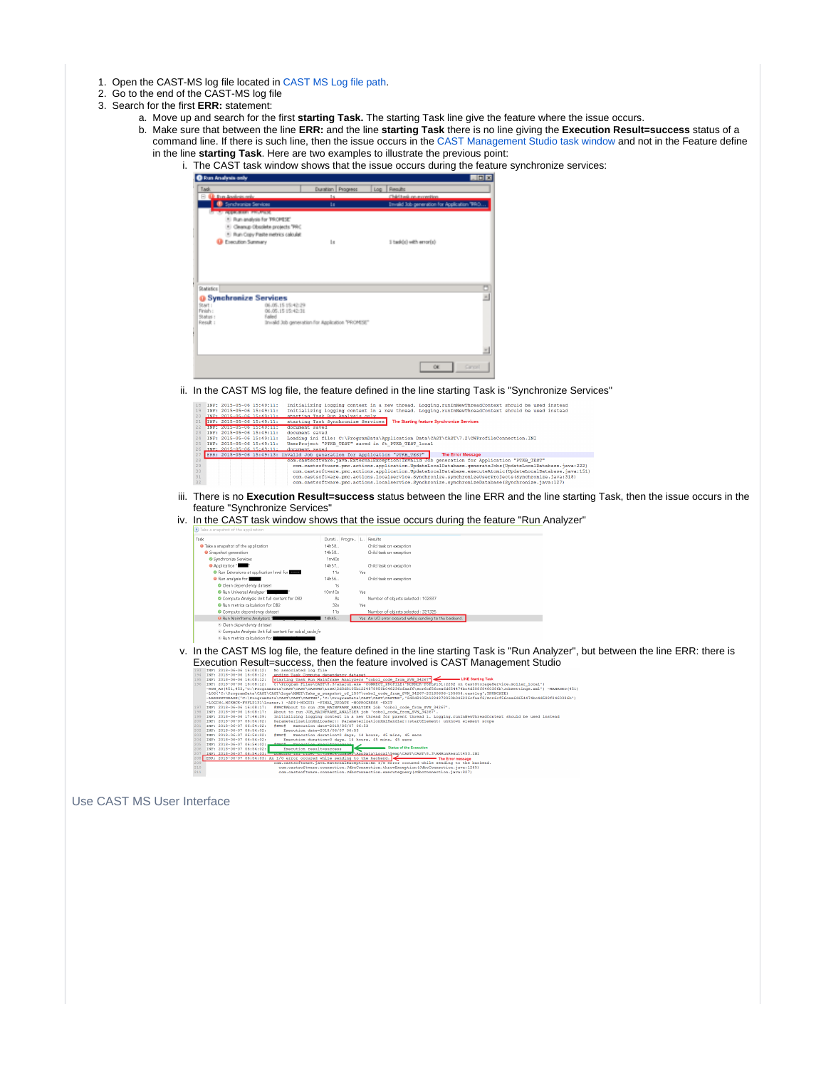- 1. Open the CAST-MS log file located in [CAST MS Log file path](https://doc.castsoftware.com/display/TG/CAST+Management+Studio+-+Information+-+How+to+find+logs#CASTManagementStudioInformationHowtofindlogs-CASTManagementStudio(CMS)).
- 2. Go to the end of the CAST-MS log file
- 3. Search for the first **ERR:** statement:
	- a. Move up and search for the first **starting Task.** The starting Task line give the feature where the issue occurs.
	- b. Make sure that between the line **ERR:** and the line **starting Task** there is no line giving the **Execution Result=success** status of a command line. If there is such line, then the issue occurs in the [CAST Management Studio task window](https://doc.castsoftware.com/display/TG/CAST+Management+Studio+-+Task+Window) and not in the Feature define in the line **starting Task**. Here are two examples to illustrate the previous point:
		- i. The CAST task window shows that the issue occurs during the feature synchronize services:

| <b>O</b> Forn Analysis only                                  |                                                 | 周回窗                                         |
|--------------------------------------------------------------|-------------------------------------------------|---------------------------------------------|
| Tadi                                                         | Duration Progress                               | Log   Requite                               |
| <b>Q</b> for Anders only<br>$\approx$                        | $1 +$                                           | Chief Lask on automation.                   |
| Synchronics Services                                         | ts.                                             | Invalid Job generation for Application TRIO |
| <b>ABCOURSES</b> HOMES                                       |                                                 |                                             |
| * Run analysis for TROPESE"                                  |                                                 |                                             |
| * Cleanup Obsolete projects "PRC                             |                                                 |                                             |
| * Pun Copy Paste netrics calculat                            |                                                 |                                             |
| Esecution Summary                                            | <b>Lu</b>                                       | I task(c) with emor(c)                      |
|                                                              |                                                 |                                             |
| <b>Statistics</b>                                            |                                                 |                                             |
| <b>O</b> Synchronize Services                                |                                                 |                                             |
| 06.05.15 15:42:29<br>Start :<br>06.05.15 15:42:31<br>Finish: |                                                 |                                             |
| Status :<br>Falled                                           |                                                 |                                             |
| Result :                                                     | Invald Jub generation for Application "PROMESE" |                                             |
|                                                              |                                                 |                                             |
|                                                              |                                                 |                                             |
|                                                              |                                                 |                                             |
|                                                              |                                                 |                                             |
|                                                              |                                                 |                                             |
|                                                              |                                                 | Cancell<br>$\alpha$                         |

ii. In the CAST MS log file, the feature defined in the line starting Task is "Synchronize Services"

| 18              | TNF: 2015-05-06 15:49:11:                                       | Initializing logging context in a new thread. Logging.runInNewThreadContext should be used instead       |
|-----------------|-----------------------------------------------------------------|----------------------------------------------------------------------------------------------------------|
| 19              | INF: 2015-05-06 15:49:11:                                       | Initializing logging context in a new thread. Logging.runInNewThreadContext should be used instead       |
| 20 <sub>1</sub> | TNF: 2015-05-06 15:49:11:                                       | starting Task Run Analysis only                                                                          |
| 21              | INF: 2015-05-06 15:49:11:                                       | The Starting feature Synchronize Services<br>starting Task Synchronize Services                          |
| 22.             | In the second contract the contract of the person of the second | document saved                                                                                           |
| 23              | INF: 2015-05-06 15:49:11:                                       | document saved                                                                                           |
| 24              | INF: 2015-05-06 15:49:11:                                       | Loading ini file: C:\ProgramData\Application Data\CAST\CAST\7.2\CWProfileConnection.INI                  |
| $25 -$          | INF: 2015-05-06 15:49:11:                                       | UserProject "PTKB TEST" saved in ft PTKB TEST local                                                      |
|                 | 26 TNP: 2015-05-06 15:49:11:                                    | document saved                                                                                           |
|                 |                                                                 | ERR: 2015-05-06 15:49:13: Invalid Job generation for Application "PTKB TEST"<br><b>The Error Message</b> |
| 28              |                                                                 | com.castsoftware.java.ExternalException:Invalid Job generation for Application "PTKB TEST"               |
| 29              |                                                                 | com.castsoftware.pmc.actions.application.UpdateLocalDatabase.generateJobs(UpdateLocalDatabase.java:222)  |
| 30              |                                                                 | com.castsoftware.pmc.actions.application.UpdateLocalDatabase.executeAtomic(UpdateLocalDatabase.iava:151) |
| 31              |                                                                 | com, castsoftware, pmc.actions.localservice.Synchronize.synchronizeUserProjects(Synchronize, java:318)   |
| $32 -$          |                                                                 | com.castsoftware.pmc.actions.localservice.Synchronize.synchronizeDatabase(Synchronize.java:127)          |
|                 |                                                                 |                                                                                                          |

- iii. There is no **Execution Result=success** status between the line ERR and the line starting Task, then the issue occurs in the feature "Synchronize Services"
- iv. In the CAST task window shows that the issue occurs during the feature "Run Analyzer"

| Task                                                    | Durati Progre L Results        |     |                                                        |
|---------------------------------------------------------|--------------------------------|-----|--------------------------------------------------------|
| <sup>O</sup> Take a snapshot of the application         | 14h58                          |     | Child task on exception                                |
| <b>O</b> Snapshot generation                            | 14h58                          |     | Child task on exception                                |
| <b>C</b> Synchronize Services                           | 1 <sub>m</sub> 40 <sub>s</sub> |     |                                                        |
| <b>O</b> Application 1                                  | 14h57                          |     | Child task on exception                                |
| Run Extensions at application level for                 | 11s                            | Yes |                                                        |
| <b>O</b> Run analysis for                               | 14h56                          |     | Child task on exception                                |
| Clean dependency dataset                                | 1s                             |     |                                                        |
| Run Universal Analyzer 1                                | 10m10s                         | Yes |                                                        |
| Compute Analysis Unit full content for DB2              | 8s                             |     | Number of objects selected : 102837                    |
| Run metrics calculation for DB2                         | 32s                            | Yes |                                                        |
| Compute dependency dataset                              | 11s                            |     | Number of objects selected : 321325                    |
| <sup>0</sup> Run Mainframe Analyzers                    | 4h45                           |     | Yes An I/O error occured while sending to the backend. |
| Clean dependency dataset                                |                                |     |                                                        |
| @ Compute Analysis Unit full content for cobol code fr- |                                |     |                                                        |
| iii. Run matrize calculation for L                      |                                |     |                                                        |

v. In the CAST MS log file, the feature defined in the line starting Task is "Run Analyzer", but between the line ERR: there is Execution Result=success, then the feature involved is CAST Management Studio

| 194 | ending Task Compute dependency dataset<br>TNR: 2018-06-06 16:08:12:                                                                                       |
|-----|-----------------------------------------------------------------------------------------------------------------------------------------------------------|
| 195 | starting Task Run Mainframe Analyzers "cobol code from SVN 34267" < NE Starting Task<br>INF: 2018-06-06 16:08:12:                                         |
| 196 | C:\Program Files\CAST\8.3/anarun.exe -CONNECT PROFILE('MCRMCR-F8FLP131:2282 on CastStorageService.moller local')<br>INF: 2018-06-06 16:08:12:             |
|     | -RUN AU(451,453,'C:\ProgramData\CAST\CAST\CASTMS\LISA\2d0d8105b1224878950b046236cfaaf6\Scr6cf56cea6d654474bc4d588f8460386b\JobSettings.xml') -MANAGRD(451 |
|     | -LOG('C:\ProgramData\CAST\CAST\Logs\NNET\Take a snapshot of 1507\cobol code from SVN 34267-20180606-155654.castlog',TRUNCATE)                             |
|     | -LARGESTORAGE('C:\ProgramData\CAST\CAST\CASTNS','C:\ProgramData\CAST\CAST\CASTNS','2d0d8105b1224878950b046236cfaaf6/Scr6cf56cea6d654474bc4d588f8460386b') |
|     | -LOGIN (, MCKMCK-F8FLP131\Loaner, ) -APP (-WOGUI) -FINAL UPDATE -NOPROGRESS -EXIT                                                                         |
| 197 | INF: 2018-06-06 16:08:17: #PMC#About to run JOB MAINFRAME ANALYZER iob 'cobol code from SVN 34267'.                                                       |
| 198 | About to run JOB MAINFRAME ANALYZER job 'cobol code from SVN 34267'.<br>INF: 2018-06-06 16:08:17:                                                         |
| 199 | Initializing logging context in a new thread for parent thread 1. Logging.runInNewThreadContext should be used instead<br>INF: 2018-06-06 17:46:39:       |
| 200 | ParameterizationXmlLoader:: ParameterizationXmlHandler::startElement: unknown element scope<br>INF: 2018-06-07 06:54:02:                                  |
| 201 | #PMC# Execution date=2018/06/07 06:53<br>INF: 2018-06-07 06:54:02:                                                                                        |
| 202 | INF: 2018-06-07 06:54:02:<br>Execution date=2018/06/07 06:53                                                                                              |
| 203 | #PMC# Execution duration=0 days, 14 hours, 45 mins, 45 secs<br>INF: 2018-06-07 06:54:02:                                                                  |
| 204 | Execution duration=0 days, 14 hours, 45 mins, 45 secs<br>INF: 2018-06-07 06:54:02:                                                                        |
| 205 | TNF: 2018-06-07 06:54:02: Annual Technician Acoultamental                                                                                                 |
| 206 | <b>Status of the Execution</b><br>Execution result-success<br>TNF: 2018-06-07 06:54:02:                                                                   |
| 207 | INF: 2018-06-07 06:54:03: Descrite in: Tite, Crypsers Council AppData\Local\Temp\CAST\CAST\8.3\AMRunResult453.INI                                         |
|     | 208 ERR: 2018-06-07 06:54:03: An I/O error occured while sending to the backend.<br>The Error message                                                     |
| 209 | com.castsoftware.iava.ExternalException:An I/O error occured while sending to the backend.                                                                |
| 210 | com.castsoftware.connection.JdbcConnection.throwException(JdbcConnection.java:1245)                                                                       |
| 211 | com.castsoftware.connection.JdbcConnection.executeOuerv(JdbcConnection.java:827)                                                                          |
|     |                                                                                                                                                           |

<span id="page-2-0"></span>Use CAST MS User Interface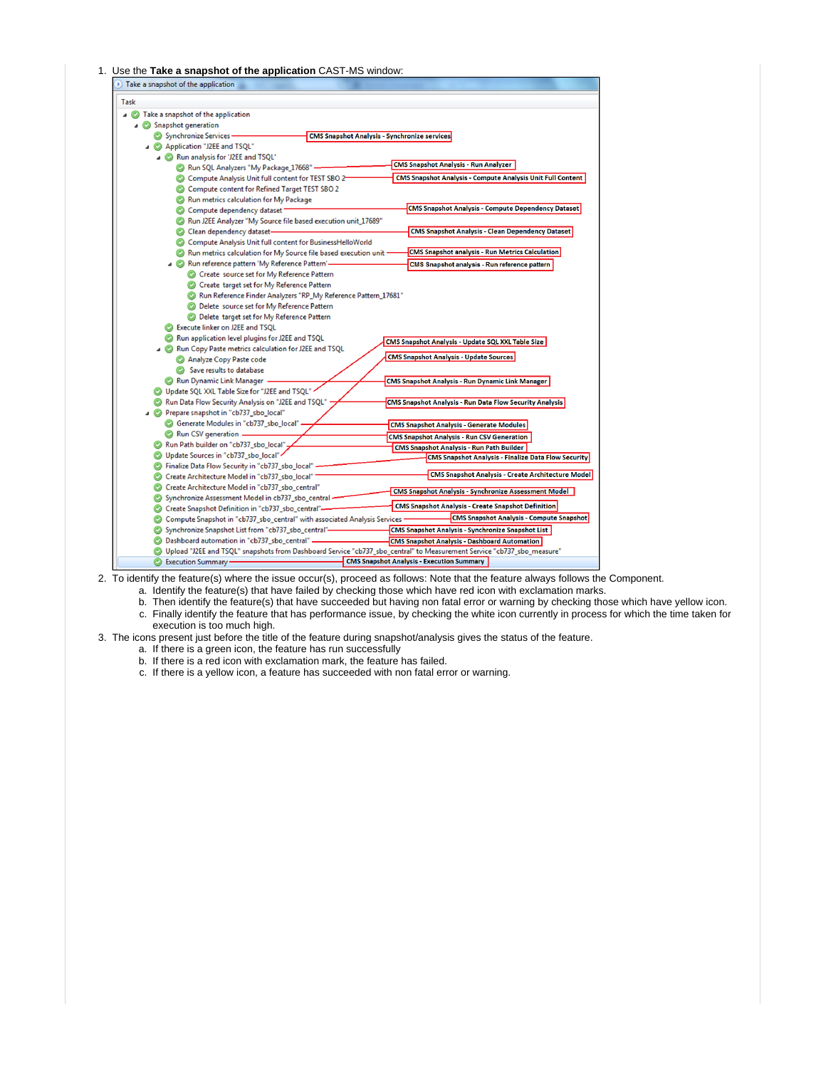#### 1. Use the **Take a snapshot of the application** CAST-MS window:

| >) Take a snapshot of the application                                     |                                                                                                                          |
|---------------------------------------------------------------------------|--------------------------------------------------------------------------------------------------------------------------|
| Task                                                                      |                                                                                                                          |
| Take a snapshot of the application<br>⊿ ©                                 |                                                                                                                          |
| Snapshot generation                                                       |                                                                                                                          |
| Synchronize Services-                                                     | <b>CMS Snapshot Analysis - Synchronize services</b>                                                                      |
| Application "J2EE and TSQL"                                               |                                                                                                                          |
| △ C Run analysis for 'J2EE and TSQL'                                      |                                                                                                                          |
| Run SQL Analyzers "My Package_17668"                                      | <b>CMS Snapshot Analysis - Run Analyzer</b>                                                                              |
| Compute Analysis Unit full content for TEST SBO 2-                        | <b>CMS Snapshot Analysis - Compute Analysis Unit Full Content</b>                                                        |
| Compute content for Refined Target TEST SBO 2                             |                                                                                                                          |
| Run metrics calculation for My Package                                    |                                                                                                                          |
| Compute dependency dataset                                                | CMS Snapshot Analysis - Compute Dependency Dataset                                                                       |
| C Run J2EE Analyzer "My Source file based execution unit_17689"           |                                                                                                                          |
| C Clean dependency dataset-                                               | <b>CMS Snapshot Analysis - Clean Dependency Dataset</b>                                                                  |
| Compute Analysis Unit full content for BusinessHelloWorld                 |                                                                                                                          |
| Run metrics calculation for My Source file based execution unit           | <b>CMS Snapshot analysis - Run Metrics Calculation</b>                                                                   |
| Run reference pattern 'My Reference Pattern'-                             | CMS Snapshot analysis - Run reference pattern                                                                            |
| C Create source set for My Reference Pattern                              |                                                                                                                          |
| Create target set for My Reference Pattern                                |                                                                                                                          |
| C Run Reference Finder Analyzers "RP_My Reference Pattern_17681"          |                                                                                                                          |
| <b>O</b> Delete source set for My Reference Pattern                       |                                                                                                                          |
| C Delete target set for My Reference Pattern                              |                                                                                                                          |
| Execute linker on J2EE and TSQL                                           |                                                                                                                          |
| Run application level plugins for J2EE and TSQL                           | CMS Snapshot Analysis - Update SQL XXL Table Size                                                                        |
| Run Copy Paste metrics calculation for J2EE and TSQL                      |                                                                                                                          |
| Analyze Copy Paste code                                                   | <b>CMS Snapshot Analysis - Update Sources</b>                                                                            |
| Save results to database                                                  |                                                                                                                          |
| Run Dynamic Link Manager                                                  | <b>CMS Snapshot Analysis - Run Dynamic Link Manager</b>                                                                  |
| Update SQL XXL Table Size for "J2EE and TSQL"                             |                                                                                                                          |
| Run Data Flow Security Analysis on "J2EE and TSQL"                        | <b>CMS Snapshot Analysis - Run Data Flow Security Analysis</b>                                                           |
| △ ● Prepare snapshot in "cb737_sbo_local"                                 |                                                                                                                          |
| Generate Modules in "cb737_sbo_local" .                                   | <b>CMS Snapshot Analysis - Generate Modules</b>                                                                          |
| Run CSV generation.                                                       | <b>CMS Snapshot Analysis - Run CSV Generation</b>                                                                        |
| Run Path builder on "cb737_sbo_local".                                    | <b>CMS Snapshot Analysis - Run Path Builder</b>                                                                          |
| O Update Sources in "cb737_sbo_local"                                     | <b>CMS Snapshot Analysis - Finalize Data Flow Security</b>                                                               |
| C Finalize Data Flow Security in "cb737_sbo_local"                        |                                                                                                                          |
| Create Architecture Model in "cb737_sbo_local"                            | <b>CMS Snapshot Analysis - Create Architecture Model</b>                                                                 |
| Create Architecture Model in "cb737_sbo_central"                          | <b>CMS Snapshot Analysis - Synchronize Assessment Model</b>                                                              |
| Synchronize Assessment Model in cb737_sbo_central                         |                                                                                                                          |
| Conceate Snapshot Definition in "cb737_sbo_central"-                      | <b>CMS Snapshot Analysis - Create Snapshot Definition</b>                                                                |
| Compute Snapshot in "cb737_sbo_central" with associated Analysis Services | <b>CMS Snapshot Analysis - Compute Snapshot</b>                                                                          |
| Synchronize Snapshot List from "cb737_sbo_central"-                       | <b>CMS Snapshot Analysis - Synchronize Snapshot List</b>                                                                 |
| C Dashboard automation in "cb737_sbo_central" _                           | <b>CMS Snapshot Analysis - Dashboard Automation</b>                                                                      |
|                                                                           | C Upload "J2EE and TSQL" snapshots from Dashboard Service "cb737_sbo_central" to Measurement Service "cb737_sbo_measure" |
| Execution Summary -                                                       | <b>CMS Snapshot Analysis - Execution Summary</b>                                                                         |

2. To identify the feature(s) where the issue occur(s), proceed as follows: Note that the feature always follows the Component.

a. Identify the feature(s) that have failed by checking those which have red icon with exclamation marks.

b. Then identify the feature(s) that have succeeded but having non fatal error or warning by checking those which have yellow icon.

c. Finally identify the feature that has performance issue, by checking the white icon currently in process for which the time taken for

- execution is too much high.
- 3. The icons present just before the title of the feature during snapshot/analysis gives the status of the feature.
	- a. If there is a green icon, the feature has run successfully
	- b. If there is a red icon with exclamation mark, the feature has failed.
	- c. If there is a yellow icon, a feature has succeeded with non fatal error or warning.